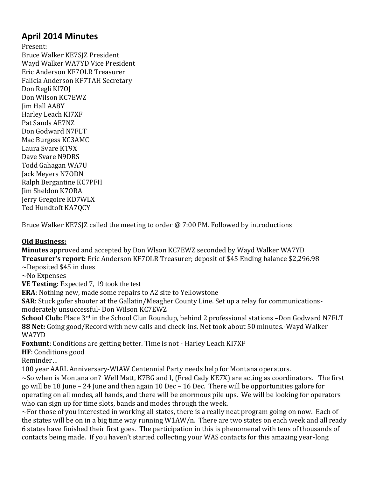# **April 2014 Minutes**

Present: Bruce Walker KE7SJZ President Wayd Walker WA7YD Vice President Eric Anderson KF7OLR Treasurer Falicia Anderson KF7TAH Secretary Don Regli KI7OJ Don Wilson KC7EWZ Jim Hall AA8Y Harley Leach KI7XF Pat Sands AE7NZ Don Godward N7FLT Mac Burgess KC3AMC Laura Svare KT9X Dave Svare N9DRS Todd Gahagan WA7U Jack Meyers N7ODN Ralph Bergantine KC7PFH Jim Sheldon K7ORA Jerry Gregoire KD7WLX Ted Hundtoft KA7QCY

Bruce Walker KE7SJZ called the meeting to order @ 7:00 PM. Followed by introductions

#### **Old Business:**

**Minutes** approved and accepted by Don Wlson KC7EWZ seconded by Wayd Walker WA7YD **Treasurer's report:** Eric Anderson KF7OLR Treasurer; deposit of \$45 Ending balance \$2,296.98 ~Deposited \$45 in dues

~No Expenses

**VE Testing**: Expected 7, 19 took the test

**ERA**: Nothing new, made some repairs to A2 site to Yellowstone

**SAR**: Stuck gofer shooter at the Gallatin/Meagher County Line. Set up a relay for communicationsmoderately unsuccessful- Don Wilson KC7EWZ

**School Club:** Place 3<sup>rd</sup> in the School Clun Roundup, behind 2 professional stations -Don Godward N7FLT **88 Net:** Going good/Record with new calls and check-ins. Net took about 50 minutes.-Wayd Walker WA7YD

**Foxhunt**: Conditions are getting better. Time is not - Harley Leach KI7XF

**HF**: Conditions good

Reminder…

100 year AARL Anniversary-WIAW Centennial Party needs help for Montana operators.

~So when is Montana on? Well Matt, K7BG and I, (Fred Cady KE7X) are acting as coordinators. The first go will be 18 June – 24 June and then again 10 Dec – 16 Dec. There will be opportunities galore for operating on all modes, all bands, and there will be enormous pile ups. We will be looking for operators who can sign up for time slots, bands and modes through the week.

 $\sim$ For those of you interested in working all states, there is a really neat program going on now. Each of the states will be on in a big time way running W1AW/n. There are two states on each week and all ready 6 states have finished their first goes. The participation in this is phenomenal with tens of thousands of contacts being made. If you haven't started collecting your WAS contacts for this amazing year-long